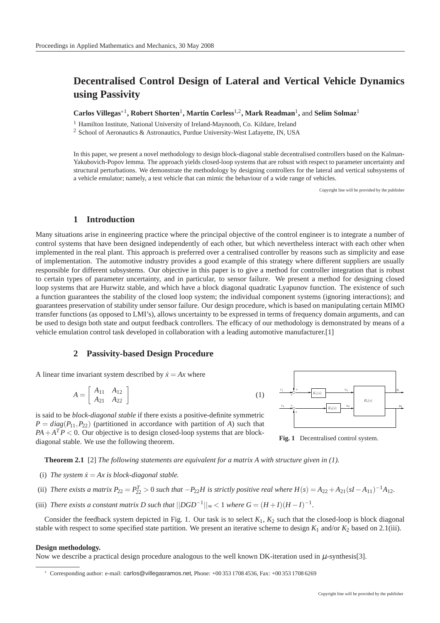# **Decentralised Control Design of Lateral and Vertical Vehicle Dynamics using Passivity**

**Carlos Villegas**∗<sup>1</sup> **, Robert Shorten**<sup>1</sup> **, Martin Corless**1,2**, Mark Readman**<sup>1</sup> **,** and **Selim Solmaz**<sup>1</sup>

<sup>1</sup> Hamilton Institute, National University of Ireland-Maynooth, Co. Kildare, Ireland

<sup>2</sup> School of Aeronautics & Astronautics, Purdue University-West Lafayette, IN, USA

In this paper, we present a novel methodology to design block-diagonal stable decentralised controllers based on the Kalman-Yakubovich-Popov lemma. The approach yields closed-loop systems that are robust with respect to parameter uncertainty and structural perturbations. We demonstrate the methodology by designing controllers for the lateral and vertical subsystems of a vehicle emulator; namely, a test vehicle that can mimic the behaviour of a wide range of vehicles.

Copyright line will be provided by the publisher

### **1 Introduction**

Many situations arise in engineering practice where the principal objective of the control engineer is to integrate a number of control systems that have been designed independently of each other, but which nevertheless interact with each other when implemented in the real plant. This approach is preferred over a centralised controller by reasons such as simplicity and ease of implementation. The automotive industry provides a good example of this strategy where different suppliers are usually responsible for different subsystems. Our objective in this paper is to give a method for controller integration that is robust to certain types of parameter uncertainty, and in particular, to sensor failure. We present a method for designing closed loop systems that are Hurwitz stable, and which have a block diagonal quadratic Lyapunov function. The existence of such a function guarantees the stability of the closed loop system; the individual component systems (ignoring interactions); and guarantees preservation of stability under sensor failure. Our design procedure, which is based on manipulating certain MIMO transfer functions (as opposed to LMI's), allows uncertainty to be expressed in terms of frequency domain arguments, and can be used to design both state and output feedback controllers. The efficacy of our methodology is demonstrated by means of a vehicle emulation control task developed in collaboration with a leading automotive manufacturer.[1]

(1)

## **2 Passivity-based Design Procedure**

A linear time invariant system described by  $\dot{x} = Ax$  where

$$
A = \left[ \begin{array}{cc} A_{11} & A_{12} \\ A_{21} & A_{22} \end{array} \right]
$$

is said to be *block-diagonal stable* if there exists a positive-definite symmetric  $P = diag(P_{11}, P_{22})$  (partitioned in accordance with partition of *A*) such that  $PA + A<sup>T</sup>P < 0$ . Our objective is to design closed-loop systems that are blockdiagonal stable. We use the following theorem.



Fig. 1 Decentralised control system.

**Theorem 2.1** [2] *The following statements are equivalent for a matrix A with structure given in (1).*

- (i) The system  $\dot{x} = Ax$  is block-diagonal stable.
- (ii) *There exists a matrix P*<sub>22</sub> =  $P_{22}^T > 0$  *such that*  $-P_{22}H$  *is strictly positive real where*  $H(s) = A_{22} + A_{21}(sI A_{11})^{-1}A_{12}$ *.*
- (iii) *There exists a constant matrix D such that*  $||DGD^{-1}||_{\infty} < 1$  where  $G = (H + I)(H I)^{-1}$ .

Consider the feedback system depicted in Fig. 1. Our task is to select  $K_1$ ,  $K_2$  such that the closed-loop is block diagonal stable with respect to some specified state partition. We present an iterative scheme to design  $K_1$  and/or  $K_2$  based on 2.1(iii).

#### **Design methodology.**

Now we describe a practical design procedure analogous to the well known DK-iteration used in  $\mu$ -synthesis[3].

<sup>∗</sup> Corresponding author: e-mail: carlos@villegasramos.net, Phone: +00 353 1708 4536, Fax: +00 353 1708 6269